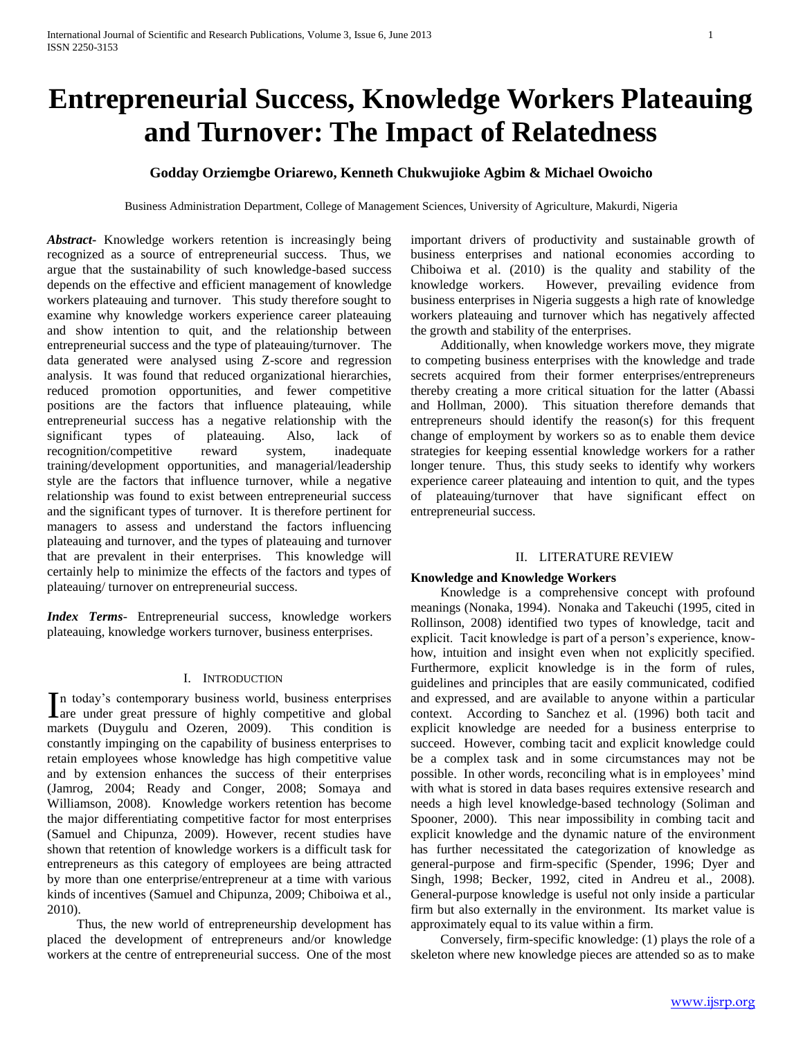# **Entrepreneurial Success, Knowledge Workers Plateauing and Turnover: The Impact of Relatedness**

# **Godday Orziemgbe Oriarewo, Kenneth Chukwujioke Agbim & Michael Owoicho**

Business Administration Department, College of Management Sciences, University of Agriculture, Makurdi, Nigeria

*Abstract***-** Knowledge workers retention is increasingly being recognized as a source of entrepreneurial success. Thus, we argue that the sustainability of such knowledge-based success depends on the effective and efficient management of knowledge workers plateauing and turnover. This study therefore sought to examine why knowledge workers experience career plateauing and show intention to quit, and the relationship between entrepreneurial success and the type of plateauing/turnover. The data generated were analysed using Z-score and regression analysis. It was found that reduced organizational hierarchies, reduced promotion opportunities, and fewer competitive positions are the factors that influence plateauing, while entrepreneurial success has a negative relationship with the significant types of plateauing. Also, lack of recognition/competitive reward system, inadequate training/development opportunities, and managerial/leadership style are the factors that influence turnover, while a negative relationship was found to exist between entrepreneurial success and the significant types of turnover. It is therefore pertinent for managers to assess and understand the factors influencing plateauing and turnover, and the types of plateauing and turnover that are prevalent in their enterprises. This knowledge will certainly help to minimize the effects of the factors and types of plateauing/ turnover on entrepreneurial success.

*Index Terms*- Entrepreneurial success, knowledge workers plateauing, knowledge workers turnover, business enterprises.

# I. INTRODUCTION

n today's contemporary business world, business enterprises In today's contemporary business world, business enterprises are under great pressure of highly competitive and global markets (Duygulu and Ozeren, 2009). This condition is constantly impinging on the capability of business enterprises to retain employees whose knowledge has high competitive value and by extension enhances the success of their enterprises (Jamrog, 2004; Ready and Conger, 2008; Somaya and Williamson, 2008). Knowledge workers retention has become the major differentiating competitive factor for most enterprises (Samuel and Chipunza, 2009). However, recent studies have shown that retention of knowledge workers is a difficult task for entrepreneurs as this category of employees are being attracted by more than one enterprise/entrepreneur at a time with various kinds of incentives (Samuel and Chipunza, 2009; Chiboiwa et al., 2010).

 Thus, the new world of entrepreneurship development has placed the development of entrepreneurs and/or knowledge workers at the centre of entrepreneurial success. One of the most important drivers of productivity and sustainable growth of business enterprises and national economies according to Chiboiwa et al. (2010) is the quality and stability of the knowledge workers. However, prevailing evidence from business enterprises in Nigeria suggests a high rate of knowledge workers plateauing and turnover which has negatively affected the growth and stability of the enterprises.

 Additionally, when knowledge workers move, they migrate to competing business enterprises with the knowledge and trade secrets acquired from their former enterprises/entrepreneurs thereby creating a more critical situation for the latter (Abassi and Hollman, 2000). This situation therefore demands that entrepreneurs should identify the reason(s) for this frequent change of employment by workers so as to enable them device strategies for keeping essential knowledge workers for a rather longer tenure. Thus, this study seeks to identify why workers experience career plateauing and intention to quit, and the types of plateauing/turnover that have significant effect on entrepreneurial success.

#### II. LITERATURE REVIEW

#### **Knowledge and Knowledge Workers**

 Knowledge is a comprehensive concept with profound meanings (Nonaka, 1994). Nonaka and Takeuchi (1995, cited in Rollinson, 2008) identified two types of knowledge, tacit and explicit. Tacit knowledge is part of a person's experience, knowhow, intuition and insight even when not explicitly specified. Furthermore, explicit knowledge is in the form of rules, guidelines and principles that are easily communicated, codified and expressed, and are available to anyone within a particular context. According to Sanchez et al. (1996) both tacit and explicit knowledge are needed for a business enterprise to succeed. However, combing tacit and explicit knowledge could be a complex task and in some circumstances may not be possible. In other words, reconciling what is in employees' mind with what is stored in data bases requires extensive research and needs a high level knowledge-based technology (Soliman and Spooner, 2000). This near impossibility in combing tacit and explicit knowledge and the dynamic nature of the environment has further necessitated the categorization of knowledge as general-purpose and firm-specific (Spender, 1996; Dyer and Singh, 1998; Becker, 1992, cited in Andreu et al., 2008). General-purpose knowledge is useful not only inside a particular firm but also externally in the environment. Its market value is approximately equal to its value within a firm.

 Conversely, firm-specific knowledge: (1) plays the role of a skeleton where new knowledge pieces are attended so as to make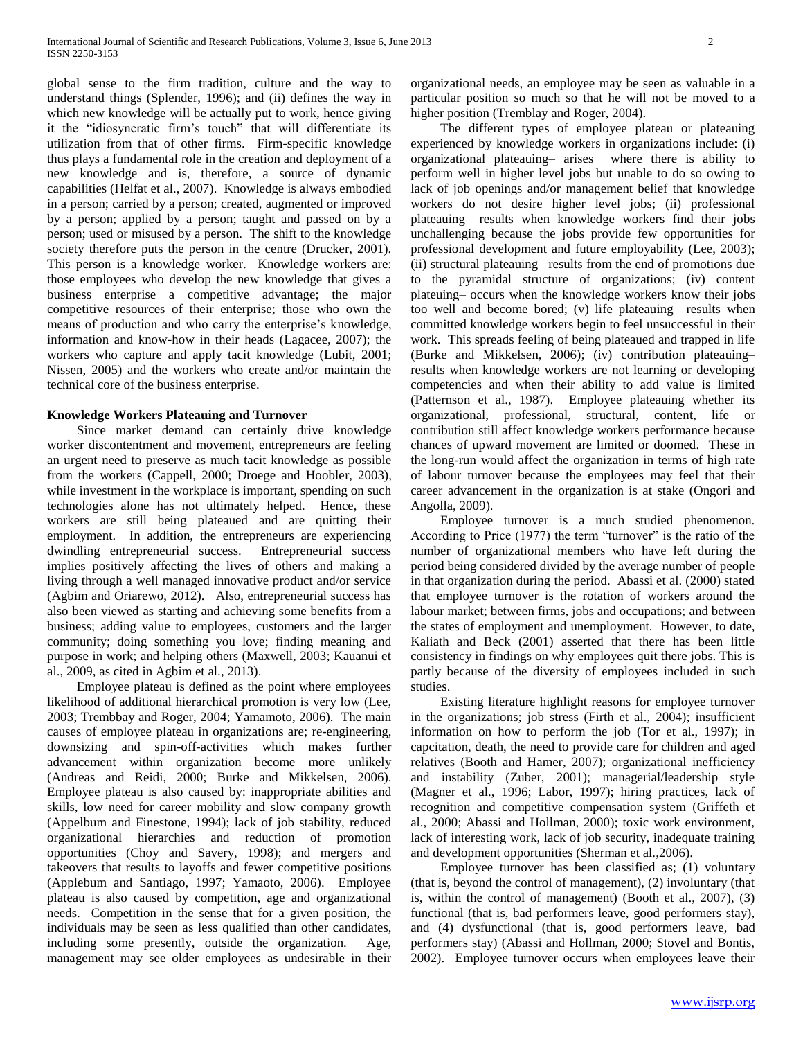global sense to the firm tradition, culture and the way to understand things (Splender, 1996); and (ii) defines the way in which new knowledge will be actually put to work, hence giving it the "idiosyncratic firm's touch" that will differentiate its utilization from that of other firms. Firm-specific knowledge thus plays a fundamental role in the creation and deployment of a new knowledge and is, therefore, a source of dynamic capabilities (Helfat et al., 2007). Knowledge is always embodied in a person; carried by a person; created, augmented or improved by a person; applied by a person; taught and passed on by a person; used or misused by a person. The shift to the knowledge society therefore puts the person in the centre (Drucker, 2001). This person is a knowledge worker. Knowledge workers are: those employees who develop the new knowledge that gives a business enterprise a competitive advantage; the major competitive resources of their enterprise; those who own the means of production and who carry the enterprise's knowledge, information and know-how in their heads (Lagacee, 2007); the workers who capture and apply tacit knowledge (Lubit, 2001; Nissen, 2005) and the workers who create and/or maintain the technical core of the business enterprise.

### **Knowledge Workers Plateauing and Turnover**

 Since market demand can certainly drive knowledge worker discontentment and movement, entrepreneurs are feeling an urgent need to preserve as much tacit knowledge as possible from the workers (Cappell, 2000; Droege and Hoobler, 2003), while investment in the workplace is important, spending on such technologies alone has not ultimately helped. Hence, these workers are still being plateaued and are quitting their employment. In addition, the entrepreneurs are experiencing dwindling entrepreneurial success. Entrepreneurial success implies positively affecting the lives of others and making a living through a well managed innovative product and/or service (Agbim and Oriarewo, 2012). Also, entrepreneurial success has also been viewed as starting and achieving some benefits from a business; adding value to employees, customers and the larger community; doing something you love; finding meaning and purpose in work; and helping others (Maxwell, 2003; Kauanui et al., 2009, as cited in Agbim et al., 2013).

 Employee plateau is defined as the point where employees likelihood of additional hierarchical promotion is very low (Lee, 2003; Trembbay and Roger, 2004; Yamamoto, 2006). The main causes of employee plateau in organizations are; re-engineering, downsizing and spin-off-activities which makes further advancement within organization become more unlikely (Andreas and Reidi, 2000; Burke and Mikkelsen, 2006). Employee plateau is also caused by: inappropriate abilities and skills, low need for career mobility and slow company growth (Appelbum and Finestone, 1994); lack of job stability, reduced organizational hierarchies and reduction of promotion opportunities (Choy and Savery, 1998); and mergers and takeovers that results to layoffs and fewer competitive positions (Applebum and Santiago, 1997; Yamaoto, 2006). Employee plateau is also caused by competition, age and organizational needs. Competition in the sense that for a given position, the individuals may be seen as less qualified than other candidates, including some presently, outside the organization. Age, management may see older employees as undesirable in their organizational needs, an employee may be seen as valuable in a particular position so much so that he will not be moved to a higher position (Tremblay and Roger, 2004).

 The different types of employee plateau or plateauing experienced by knowledge workers in organizations include: (i) organizational plateauing– arises where there is ability to perform well in higher level jobs but unable to do so owing to lack of job openings and/or management belief that knowledge workers do not desire higher level jobs; (ii) professional plateauing– results when knowledge workers find their jobs unchallenging because the jobs provide few opportunities for professional development and future employability (Lee, 2003); (ii) structural plateauing– results from the end of promotions due to the pyramidal structure of organizations; (iv) content plateuing– occurs when the knowledge workers know their jobs too well and become bored; (v) life plateauing– results when committed knowledge workers begin to feel unsuccessful in their work. This spreads feeling of being plateaued and trapped in life (Burke and Mikkelsen, 2006); (iv) contribution plateauing– results when knowledge workers are not learning or developing competencies and when their ability to add value is limited (Patternson et al., 1987). Employee plateauing whether its organizational, professional, structural, content, life or contribution still affect knowledge workers performance because chances of upward movement are limited or doomed. These in the long-run would affect the organization in terms of high rate of labour turnover because the employees may feel that their career advancement in the organization is at stake (Ongori and Angolla, 2009).

 Employee turnover is a much studied phenomenon. According to Price (1977) the term "turnover" is the ratio of the number of organizational members who have left during the period being considered divided by the average number of people in that organization during the period. Abassi et al. (2000) stated that employee turnover is the rotation of workers around the labour market; between firms, jobs and occupations; and between the states of employment and unemployment. However, to date, Kaliath and Beck (2001) asserted that there has been little consistency in findings on why employees quit there jobs. This is partly because of the diversity of employees included in such studies.

 Existing literature highlight reasons for employee turnover in the organizations; job stress (Firth et al., 2004); insufficient information on how to perform the job (Tor et al., 1997); in capcitation, death, the need to provide care for children and aged relatives (Booth and Hamer, 2007); organizational inefficiency and instability (Zuber, 2001); managerial/leadership style (Magner et al., 1996; Labor, 1997); hiring practices, lack of recognition and competitive compensation system (Griffeth et al., 2000; Abassi and Hollman, 2000); toxic work environment, lack of interesting work, lack of job security, inadequate training and development opportunities (Sherman et al.,2006).

 Employee turnover has been classified as; (1) voluntary (that is, beyond the control of management), (2) involuntary (that is, within the control of management) (Booth et al., 2007), (3) functional (that is, bad performers leave, good performers stay), and (4) dysfunctional (that is, good performers leave, bad performers stay) (Abassi and Hollman, 2000; Stovel and Bontis, 2002). Employee turnover occurs when employees leave their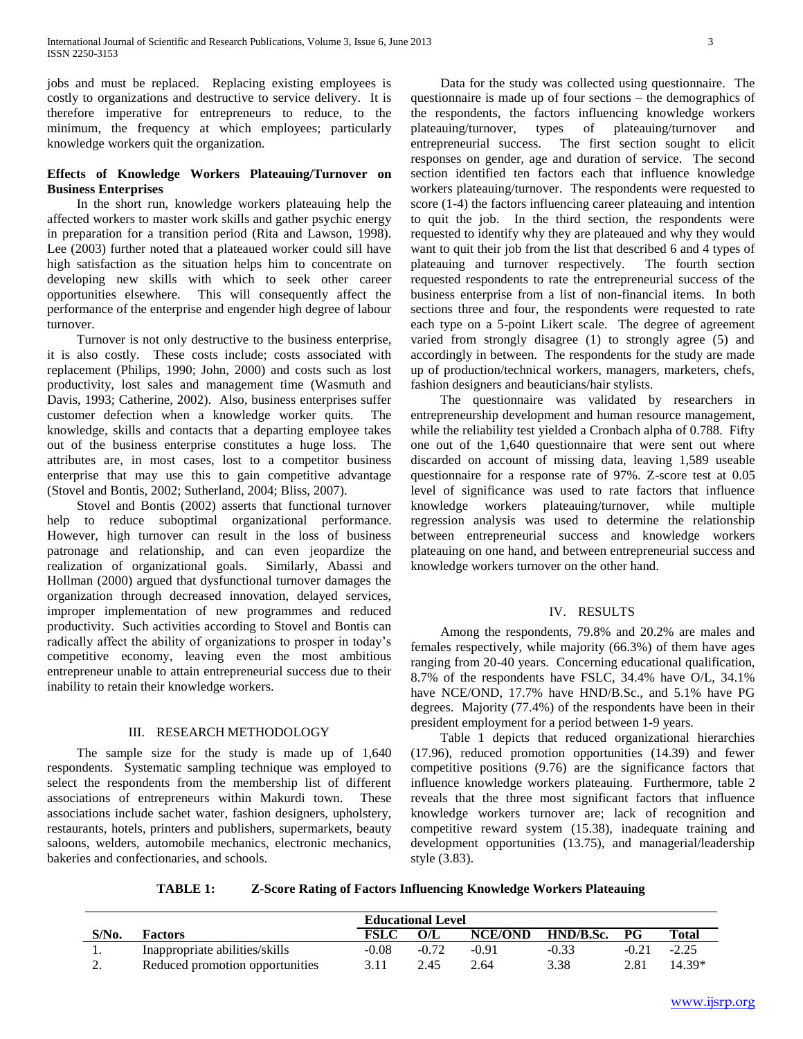jobs and must be replaced. Replacing existing employees is costly to organizations and destructive to service delivery. It is therefore imperative for entrepreneurs to reduce, to the minimum, the frequency at which employees; particularly knowledge workers quit the organization.

# **Effects of Knowledge Workers Plateauing/Turnover on Business Enterprises**

 In the short run, knowledge workers plateauing help the affected workers to master work skills and gather psychic energy in preparation for a transition period (Rita and Lawson, 1998). Lee (2003) further noted that a plateaued worker could sill have high satisfaction as the situation helps him to concentrate on developing new skills with which to seek other career opportunities elsewhere. This will consequently affect the performance of the enterprise and engender high degree of labour turnover.

 Turnover is not only destructive to the business enterprise, it is also costly. These costs include; costs associated with replacement (Philips, 1990; John, 2000) and costs such as lost productivity, lost sales and management time (Wasmuth and Davis, 1993; Catherine, 2002). Also, business enterprises suffer customer defection when a knowledge worker quits. The knowledge, skills and contacts that a departing employee takes out of the business enterprise constitutes a huge loss. The attributes are, in most cases, lost to a competitor business enterprise that may use this to gain competitive advantage (Stovel and Bontis, 2002; Sutherland, 2004; Bliss, 2007).

 Stovel and Bontis (2002) asserts that functional turnover help to reduce suboptimal organizational performance. However, high turnover can result in the loss of business patronage and relationship, and can even jeopardize the realization of organizational goals. Similarly, Abassi and Hollman (2000) argued that dysfunctional turnover damages the organization through decreased innovation, delayed services, improper implementation of new programmes and reduced productivity. Such activities according to Stovel and Bontis can radically affect the ability of organizations to prosper in today's competitive economy, leaving even the most ambitious entrepreneur unable to attain entrepreneurial success due to their inability to retain their knowledge workers.

# III. RESEARCH METHODOLOGY

The sample size for the study is made up of 1,640 respondents. Systematic sampling technique was employed to select the respondents from the membership list of different associations of entrepreneurs within Makurdi town. These associations include sachet water, fashion designers, upholstery, restaurants, hotels, printers and publishers, supermarkets, beauty saloons, welders, automobile mechanics, electronic mechanics, bakeries and confectionaries, and schools.

 Data for the study was collected using questionnaire. The questionnaire is made up of four sections – the demographics of the respondents, the factors influencing knowledge workers plateauing/turnover, types of plateauing/turnover and entrepreneurial success. The first section sought to elicit responses on gender, age and duration of service. The second section identified ten factors each that influence knowledge workers plateauing/turnover. The respondents were requested to score (1-4) the factors influencing career plateauing and intention to quit the job. In the third section, the respondents were requested to identify why they are plateaued and why they would want to quit their job from the list that described 6 and 4 types of plateauing and turnover respectively. The fourth section requested respondents to rate the entrepreneurial success of the business enterprise from a list of non-financial items. In both sections three and four, the respondents were requested to rate each type on a 5-point Likert scale. The degree of agreement varied from strongly disagree (1) to strongly agree (5) and accordingly in between. The respondents for the study are made up of production/technical workers, managers, marketers, chefs, fashion designers and beauticians/hair stylists.

 The questionnaire was validated by researchers in entrepreneurship development and human resource management, while the reliability test yielded a Cronbach alpha of 0.788. Fifty one out of the 1,640 questionnaire that were sent out where discarded on account of missing data, leaving 1,589 useable questionnaire for a response rate of 97%. Z-score test at 0.05 level of significance was used to rate factors that influence knowledge workers plateauing/turnover, while multiple regression analysis was used to determine the relationship between entrepreneurial success and knowledge workers plateauing on one hand, and between entrepreneurial success and knowledge workers turnover on the other hand.

# IV. RESULTS

 Among the respondents, 79.8% and 20.2% are males and females respectively, while majority (66.3%) of them have ages ranging from 20-40 years. Concerning educational qualification, 8.7% of the respondents have FSLC, 34.4% have O/L, 34.1% have NCE/OND, 17.7% have HND/B.Sc., and 5.1% have PG degrees. Majority (77.4%) of the respondents have been in their president employment for a period between 1-9 years.

 Table 1 depicts that reduced organizational hierarchies (17.96), reduced promotion opportunities (14.39) and fewer competitive positions (9.76) are the significance factors that influence knowledge workers plateauing. Furthermore, table 2 reveals that the three most significant factors that influence knowledge workers turnover are; lack of recognition and competitive reward system (15.38), inadequate training and development opportunities (13.75), and managerial/leadership style (3.83).

**TABLE 1: Z-Score Rating of Factors Influencing Knowledge Workers Plateauing**

|          |                                 | <b>Educational Level</b> |         |                |           |           |         |
|----------|---------------------------------|--------------------------|---------|----------------|-----------|-----------|---------|
| S/No.    | Factors                         | FSLC                     |         | <b>NCE/OND</b> | HND/B.Sc. | <b>PG</b> | Total   |
|          | Inappropriate abilities/skills  | $-0.08$                  | $-0.72$ | -0.91          | $-0.33$   | $-0.21$   | $-2.25$ |
| <u>.</u> | Reduced promotion opportunities |                          | 2.45    | 2.64           | 3.38      | 2.81      | 14 39*  |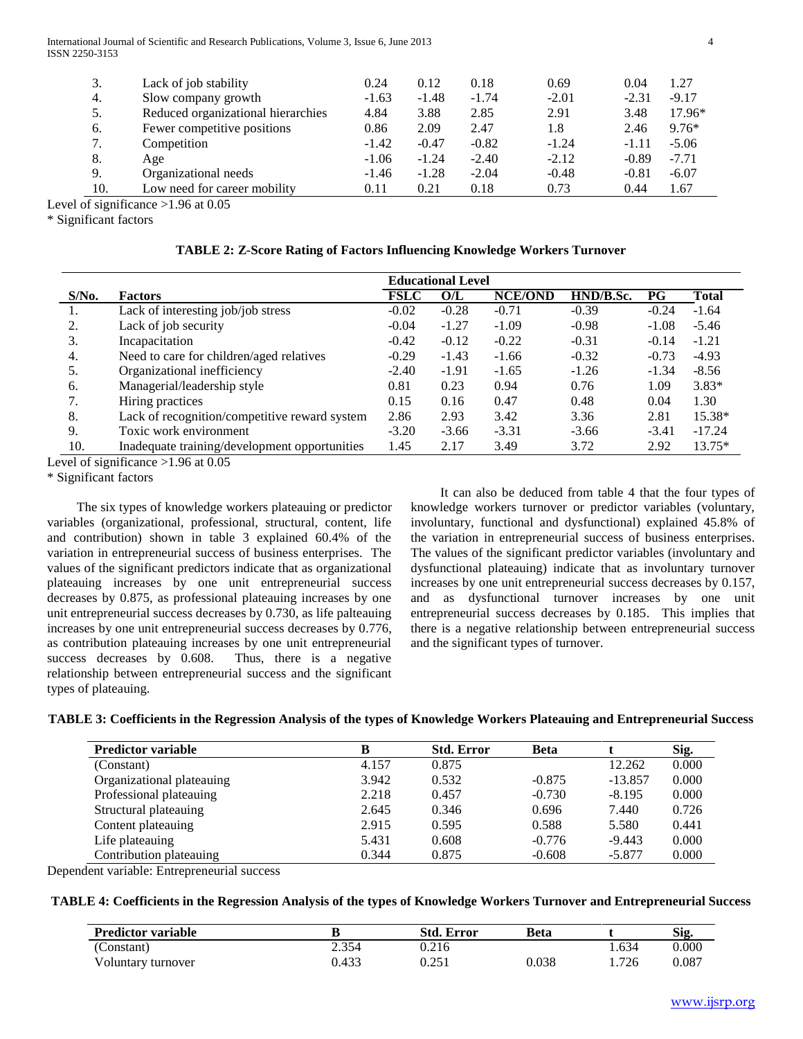International Journal of Scientific and Research Publications, Volume 3, Issue 6, June 2013 4 ISSN 2250-3153

| 3.  | Lack of job stability              | 0.24    | 0.12    | 0.18    | 0.69    | 0.04    | 1.27     |
|-----|------------------------------------|---------|---------|---------|---------|---------|----------|
| 4.  | Slow company growth                | $-1.63$ | $-1.48$ | $-1.74$ | $-2.01$ | $-2.31$ | $-9.17$  |
| 5.  | Reduced organizational hierarchies | 4.84    | 3.88    | 2.85    | 2.91    | 3.48    | $17.96*$ |
| 6.  | Fewer competitive positions        | 0.86    | 2.09    | 2.47    | 1.8     | 2.46    | $9.76*$  |
| 7.  | Competition                        | $-1.42$ | $-0.47$ | $-0.82$ | $-1.24$ | $-1.11$ | $-5.06$  |
| 8.  | Age                                | $-1.06$ | $-1.24$ | $-2.40$ | $-2.12$ | $-0.89$ | $-7.71$  |
| 9.  | Organizational needs               | $-1.46$ | $-1.28$ | $-2.04$ | $-0.48$ | $-0.81$ | $-6.07$  |
| 10. | Low need for career mobility       | 0.11    | 0.21    | 0.18    | 0.73    | 0.44    | 1.67     |
|     |                                    |         |         |         |         |         |          |

Level of significance >1.96 at 0.05

\* Significant factors

|          |                                               | <b>Educational Level</b> |         |                |           |             |              |
|----------|-----------------------------------------------|--------------------------|---------|----------------|-----------|-------------|--------------|
| $S/N0$ . | <b>Factors</b>                                | <b>FSLC</b>              | O/L     | <b>NCE/OND</b> | HND/B.Sc. | $_{\rm PG}$ | <b>Total</b> |
|          | Lack of interesting job/job stress            | $-0.02$                  | $-0.28$ | $-0.71$        | $-0.39$   | $-0.24$     | $-1.64$      |
| 2.       | Lack of job security                          | $-0.04$                  | $-1.27$ | $-1.09$        | $-0.98$   | $-1.08$     | $-5.46$      |
| 3.       | Incapacitation                                | $-0.42$                  | $-0.12$ | $-0.22$        | $-0.31$   | $-0.14$     | $-1.21$      |
| 4.       | Need to care for children/aged relatives      | $-0.29$                  | $-1.43$ | $-1.66$        | $-0.32$   | $-0.73$     | $-4.93$      |
| 5.       | Organizational inefficiency                   | $-2.40$                  | $-1.91$ | $-1.65$        | $-1.26$   | $-1.34$     | $-8.56$      |
| 6.       | Managerial/leadership style                   | 0.81                     | 0.23    | 0.94           | 0.76      | 1.09        | $3.83*$      |
| 7.       | Hiring practices                              | 0.15                     | 0.16    | 0.47           | 0.48      | 0.04        | 1.30         |
| 8.       | Lack of recognition/competitive reward system | 2.86                     | 2.93    | 3.42           | 3.36      | 2.81        | 15.38*       |
| 9.       | Toxic work environment                        | $-3.20$                  | $-3.66$ | $-3.31$        | $-3.66$   | $-3.41$     | $-17.24$     |
| 10.      | Inadequate training/development opportunities | 1.45                     | 2.17    | 3.49           | 3.72      | 2.92        | $13.75*$     |

Level of significance >1.96 at 0.05

\* Significant factors

 The six types of knowledge workers plateauing or predictor variables (organizational, professional, structural, content, life and contribution) shown in table 3 explained 60.4% of the variation in entrepreneurial success of business enterprises. The values of the significant predictors indicate that as organizational plateauing increases by one unit entrepreneurial success decreases by 0.875, as professional plateauing increases by one unit entrepreneurial success decreases by 0.730, as life palteauing increases by one unit entrepreneurial success decreases by 0.776, as contribution plateauing increases by one unit entrepreneurial success decreases by 0.608. Thus, there is a negative relationship between entrepreneurial success and the significant types of plateauing.

 It can also be deduced from table 4 that the four types of knowledge workers turnover or predictor variables (voluntary, involuntary, functional and dysfunctional) explained 45.8% of the variation in entrepreneurial success of business enterprises. The values of the significant predictor variables (involuntary and dysfunctional plateauing) indicate that as involuntary turnover increases by one unit entrepreneurial success decreases by 0.157, and as dysfunctional turnover increases by one unit entrepreneurial success decreases by 0.185. This implies that there is a negative relationship between entrepreneurial success and the significant types of turnover.

|  |  |  | TABLE 3: Coefficients in the Regression Analysis of the types of Knowledge Workers Plateauing and Entrepreneurial Success |
|--|--|--|---------------------------------------------------------------------------------------------------------------------------|
|--|--|--|---------------------------------------------------------------------------------------------------------------------------|

| <b>Predictor variable</b> | в     | <b>Std. Error</b> | <b>Beta</b> |           | Sig.  |
|---------------------------|-------|-------------------|-------------|-----------|-------|
| (Constant)                | 4.157 | 0.875             |             | 12.262    | 0.000 |
| Organizational plateauing | 3.942 | 0.532             | $-0.875$    | $-13.857$ | 0.000 |
| Professional plateauing   | 2.218 | 0.457             | $-0.730$    | $-8.195$  | 0.000 |
| Structural plateauing     | 2.645 | 0.346             | 0.696       | 7.440     | 0.726 |
| Content plateauing        | 2.915 | 0.595             | 0.588       | 5.580     | 0.441 |
| Life plateauing           | 5.431 | 0.608             | $-0.776$    | $-9.443$  | 0.000 |
| Contribution plateauing   | 0.344 | 0.875             | $-0.608$    | $-5.877$  | 0.000 |

Dependent variable: Entrepreneurial success

# **TABLE 4: Coefficients in the Regression Analysis of the types of Knowledge Workers Turnover and Entrepreneurial Success**

| <b>Predictor variable</b> |       | Std. Error | Beta  |       | Sig.  |
|---------------------------|-------|------------|-------|-------|-------|
| (Constant)                | 2.354 | 0.216      |       | .634  | 0.000 |
| Voluntary turnover        | 0.433 | በ 251      | 0.038 | 1.726 | 0.087 |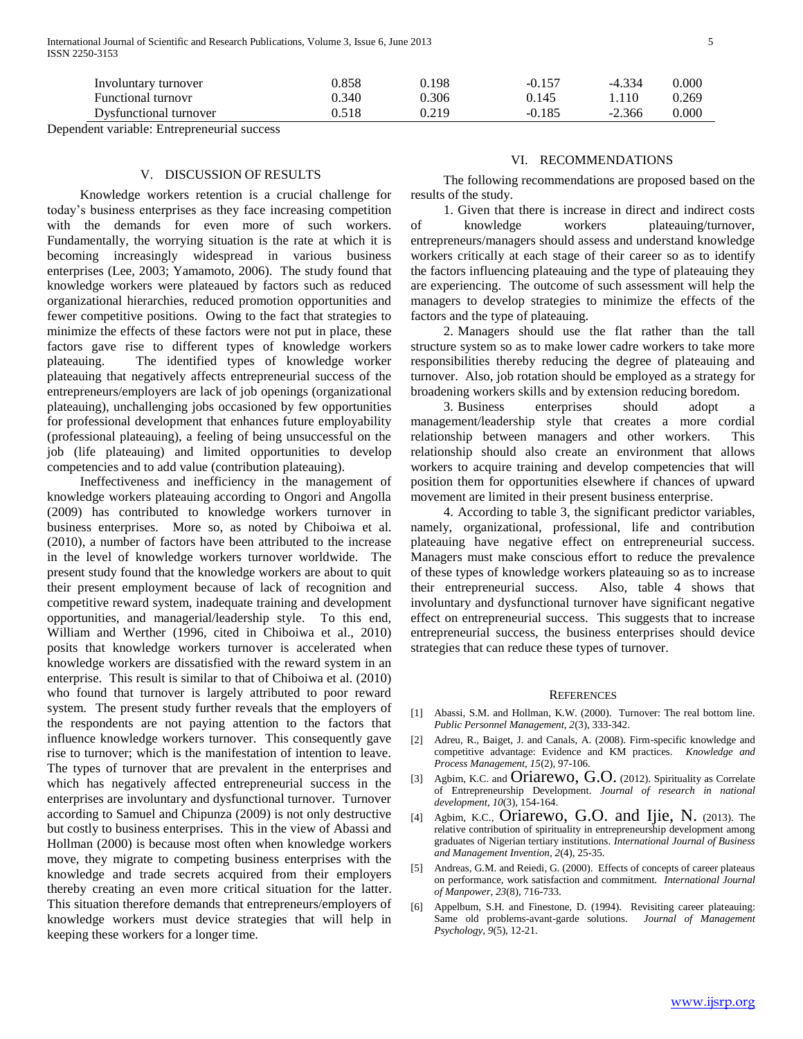| Involuntary turnover   | 0.858 | 0.198 | $-0.157$ | -4.334   | $0.000\,$ |
|------------------------|-------|-------|----------|----------|-----------|
| Functional turnovr     | 0.340 | 0.306 | 0.145    | 1.110    | 0.269     |
| Dysfunctional turnover | 0.518 | 0.219 | $-0.185$ | $-2.366$ | 0.000     |

Dependent variable: Entrepreneurial success

# V. DISCUSSION OF RESULTS

 Knowledge workers retention is a crucial challenge for today's business enterprises as they face increasing competition with the demands for even more of such workers. Fundamentally, the worrying situation is the rate at which it is becoming increasingly widespread in various business enterprises (Lee, 2003; Yamamoto, 2006). The study found that knowledge workers were plateaued by factors such as reduced organizational hierarchies, reduced promotion opportunities and fewer competitive positions. Owing to the fact that strategies to minimize the effects of these factors were not put in place, these factors gave rise to different types of knowledge workers plateauing. The identified types of knowledge worker plateauing that negatively affects entrepreneurial success of the entrepreneurs/employers are lack of job openings (organizational plateauing), unchallenging jobs occasioned by few opportunities for professional development that enhances future employability (professional plateauing), a feeling of being unsuccessful on the job (life plateauing) and limited opportunities to develop competencies and to add value (contribution plateauing).

 Ineffectiveness and inefficiency in the management of knowledge workers plateauing according to Ongori and Angolla (2009) has contributed to knowledge workers turnover in business enterprises. More so, as noted by Chiboiwa et al. (2010), a number of factors have been attributed to the increase in the level of knowledge workers turnover worldwide. The present study found that the knowledge workers are about to quit their present employment because of lack of recognition and competitive reward system, inadequate training and development opportunities, and managerial/leadership style. To this end, William and Werther (1996, cited in Chiboiwa et al., 2010) posits that knowledge workers turnover is accelerated when knowledge workers are dissatisfied with the reward system in an enterprise. This result is similar to that of Chiboiwa et al. (2010) who found that turnover is largely attributed to poor reward system. The present study further reveals that the employers of the respondents are not paying attention to the factors that influence knowledge workers turnover. This consequently gave rise to turnover; which is the manifestation of intention to leave. The types of turnover that are prevalent in the enterprises and which has negatively affected entrepreneurial success in the enterprises are involuntary and dysfunctional turnover. Turnover according to Samuel and Chipunza (2009) is not only destructive but costly to business enterprises. This in the view of Abassi and Hollman (2000) is because most often when knowledge workers move, they migrate to competing business enterprises with the knowledge and trade secrets acquired from their employers thereby creating an even more critical situation for the latter. This situation therefore demands that entrepreneurs/employers of knowledge workers must device strategies that will help in keeping these workers for a longer time.

## VI. RECOMMENDATIONS

 The following recommendations are proposed based on the results of the study.

 1. Given that there is increase in direct and indirect costs of knowledge workers plateauing/turnover, entrepreneurs/managers should assess and understand knowledge workers critically at each stage of their career so as to identify the factors influencing plateauing and the type of plateauing they are experiencing. The outcome of such assessment will help the managers to develop strategies to minimize the effects of the factors and the type of plateauing.

 2. Managers should use the flat rather than the tall structure system so as to make lower cadre workers to take more responsibilities thereby reducing the degree of plateauing and turnover. Also, job rotation should be employed as a strategy for broadening workers skills and by extension reducing boredom.

 3. Business enterprises should adopt a management/leadership style that creates a more cordial relationship between managers and other workers. This relationship should also create an environment that allows workers to acquire training and develop competencies that will position them for opportunities elsewhere if chances of upward movement are limited in their present business enterprise.

 4. According to table 3, the significant predictor variables, namely, organizational, professional, life and contribution plateauing have negative effect on entrepreneurial success. Managers must make conscious effort to reduce the prevalence of these types of knowledge workers plateauing so as to increase their entrepreneurial success. Also, table 4 shows that involuntary and dysfunctional turnover have significant negative effect on entrepreneurial success. This suggests that to increase entrepreneurial success, the business enterprises should device strategies that can reduce these types of turnover.

#### **REFERENCES**

- [1] Abassi, S.M. and Hollman, K.W. (2000). Turnover: The real bottom line. *Public Personnel Management, 2*(3), 333-342.
- [2] Adreu, R., Baiget, J. and Canals, A. (2008). Firm-specific knowledge and competitive advantage: Evidence and KM practices. *Knowledge and Process Management, 15*(2), 97-106.
- [3] Agbim, K.C. and  $Oriarewo, G.O.$  (2012). Spirituality as Correlate of Entrepreneurship Development. *Journal of research in national development, 10*(3), 154-164.
- [4] Agbim, K.C., Oriarewo, G.O. and Ijie, N. (2013). The relative contribution of spirituality in entrepreneurship development among graduates of Nigerian tertiary institutions. *International Journal of Business and Management Invention, 2*(4), 25-35.
- Andreas, G.M. and Reiedi, G. (2000). Effects of concepts of career plateaus on performance, work satisfaction and commitment. *International Journal of Manpower, 23*(8), 716-733.
- [6] Appelbum, S.H. and Finestone, D. (1994). Revisiting career plateauing: Same old problems-avant-garde solutions. *Journal of Management Psychology, 9*(5), 12-21.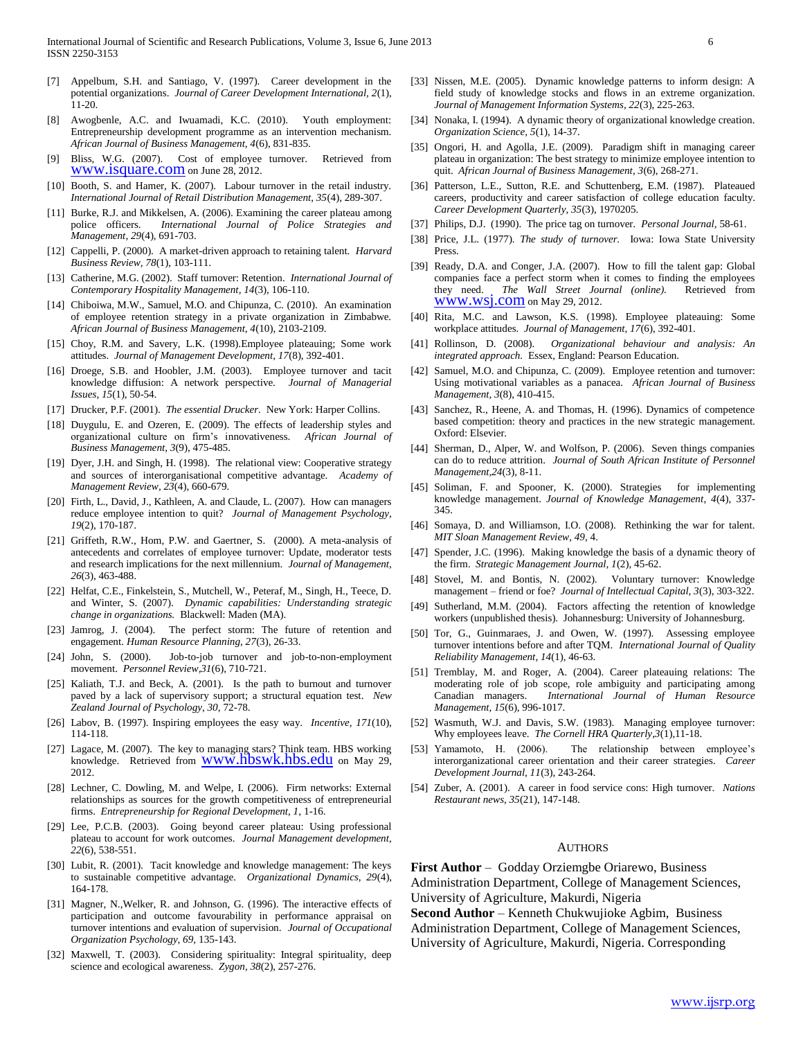- [7] Appelbum, S.H. and Santiago, V. (1997). Career development in the potential organizations. *Journal of Career Development International, 2*(1), 11-20.
- Awogbenle, A.C. and Iwuamadi, K.C. (2010). Youth employment: Entrepreneurship development programme as an intervention mechanism. *African Journal of Business Management, 4*(6), 831-835.
- [9] Bliss, W.G. (2007). Cost of employee turnover. Retrieved from WWW.isquare.com on June 28, 2012.
- [10] Booth, S. and Hamer, K. (2007). Labour turnover in the retail industry. *International Journal of Retail Distribution Management, 35*(4), 289-307.
- [11] Burke, R.J. and Mikkelsen, A. (2006). Examining the career plateau among police officers. *International Journal of Police Strategies and Management, 29*(4), 691-703.
- [12] Cappelli, P. (2000). A market-driven approach to retaining talent. *Harvard Business Review, 78*(1), 103-111.
- [13] Catherine, M.G. (2002). Staff turnover: Retention. *International Journal of Contemporary Hospitality Management, 14*(3), 106-110.
- [14] Chiboiwa, M.W., Samuel, M.O. and Chipunza, C. (2010). An examination of employee retention strategy in a private organization in Zimbabwe. *African Journal of Business Management, 4*(10), 2103-2109.
- [15] Choy, R.M. and Savery, L.K. (1998). Employee plateauing; Some work attitudes. *Journal of Management Development, 17*(8), 392-401.
- [16] Droege, S.B. and Hoobler, J.M. (2003). Employee turnover and tacit knowledge diffusion: A network perspective. *Journal of Managerial Issues, 15*(1), 50-54.
- [17] Drucker, P.F. (2001). *The essential Drucker.* New York: Harper Collins.
- [18] Duygulu, E. and Ozeren, E. (2009). The effects of leadership styles and organizational culture on firm's innovativeness. *African Journal of Business Management, 3*(9), 475-485.
- [19] Dyer, J.H. and Singh, H. (1998). The relational view: Cooperative strategy and sources of interorganisational competitive advantage. *Academy of Management Review, 23*(4), 660-679.
- [20] Firth, L., David, J., Kathleen, A. and Claude, L. (2007). How can managers reduce employee intention to quit? *Journal of Management Psychology, 19*(2), 170-187.
- [21] Griffeth, R.W., Hom, P.W. and Gaertner, S. (2000). A meta-analysis of antecedents and correlates of employee turnover: Update, moderator tests and research implications for the next millennium. *Journal of Management, 26*(3), 463-488.
- [22] Helfat, C.E., Finkelstein, S., Mutchell, W., Peteraf, M., Singh, H., Teece, D. and Winter, S. (2007). *Dynamic capabilities: Understanding strategic change in organizations.* Blackwell: Maden (MA).
- [23] Jamrog, J. (2004). The perfect storm: The future of retention and engagement. *Human Resource Planning, 27*(3), 26-33.
- [24] John, S. (2000). Job-to-job turnover and job-to-non-employment movement. *Personnel Review,31*(6), 710-721.
- [25] Kaliath, T.J. and Beck, A. (2001). Is the path to burnout and turnover paved by a lack of supervisory support; a structural equation test. *New Zealand Journal of Psychology, 30,* 72-78.
- [26] Labov, B. (1997). Inspiring employees the easy way. *Incentive, 171*(10), 114-118.
- [27] Lagace, M. (2007). The key to managing stars? Think team. HBS working knowledge. Retrieved from  $WWW.hbswk.hbs.edu$  on May 29, 2012.
- [28] Lechner, C. Dowling, M. and Welpe, I. (2006). Firm networks: External relationships as sources for the growth competitiveness of entrepreneurial firms. *Entrepreneurship for Regional Development, 1,* 1-16.
- [29] Lee, P.C.B. (2003). Going beyond career plateau: Using professional plateau to account for work outcomes. *Journal Management development, 22*(6), 538-551.
- [30] Lubit, R. (2001). Tacit knowledge and knowledge management: The keys to sustainable competitive advantage. *Organizational Dynamics, 29*(4), 164-178.
- [31] Magner, N.,Welker, R. and Johnson, G. (1996). The interactive effects of participation and outcome favourability in performance appraisal on turnover intentions and evaluation of supervision. *Journal of Occupational Organization Psychology, 69,* 135-143.
- [32] Maxwell, T. (2003). Considering spirituality: Integral spirituality, deep science and ecological awareness. *Zygon, 38*(2), 257-276.
- [33] Nissen, M.E. (2005). Dynamic knowledge patterns to inform design: A field study of knowledge stocks and flows in an extreme organization. *Journal of Management Information Systems, 22*(3), 225-263.
- [34] Nonaka, I. (1994). A dynamic theory of organizational knowledge creation. *Organization Science, 5*(1), 14-37.
- [35] Ongori, H. and Agolla, J.E. (2009). Paradigm shift in managing career plateau in organization: The best strategy to minimize employee intention to quit. *African Journal of Business Management, 3*(6), 268-271.
- [36] Patterson, L.E., Sutton, R.E. and Schuttenberg, E.M. (1987). Plateaued careers, productivity and career satisfaction of college education faculty. *Career Development Quarterly, 35*(3), 1970205.
- [37] Philips, D.J. (1990). The price tag on turnover. *Personal Journal,* 58-61.
- [38] Price, J.L. (1977). *The study of turnover.* Iowa: Iowa State University Press.
- [39] Ready, D.A. and Conger, J.A. (2007). How to fill the talent gap: Global companies face a perfect storm when it comes to finding the employees they need. *The Wall Street Journal (online).* Retrieved from [www.wsj.com](http://www.wsj.com/) on May 29, 2012.
- [40] Rita, M.C. and Lawson, K.S. (1998). Employee plateauing: Some workplace attitudes. *Journal of Management, 17*(6), 392-401.
- [41] Rollinson, D. (2008). *Organizational behaviour and analysis: An integrated approach.* Essex, England: Pearson Education.
- [42] Samuel, M.O. and Chipunza, C. (2009). Employee retention and turnover: Using motivational variables as a panacea. *African Journal of Business Management, 3*(8), 410-415.
- [43] Sanchez, R., Heene, A. and Thomas, H. (1996). Dynamics of competence based competition: theory and practices in the new strategic management. Oxford: Elsevier.
- [44] Sherman, D., Alper, W. and Wolfson, P. (2006). Seven things companies can do to reduce attrition. *Journal of South African Institute of Personnel Management,24*(3), 8-11.
- [45] Soliman, F. and Spooner, K. (2000). Strategies for implementing knowledge management. *Journal of Knowledge Management, 4*(4), 337- 345.
- [46] Somaya, D. and Williamson, I.O. (2008). Rethinking the war for talent. *MIT Sloan Management Review, 49*, 4.
- [47] Spender, J.C. (1996). Making knowledge the basis of a dynamic theory of the firm. *Strategic Management Journal, 1*(2), 45-62.
- [48] Stovel, M. and Bontis, N. (2002). Voluntary turnover: Knowledge management – friend or foe? *Journal of Intellectual Capital, 3*(3), 303-322.
- [49] Sutherland, M.M. (2004). Factors affecting the retention of knowledge workers (unpublished thesis). Johannesburg: University of Johannesburg.
- [50] Tor, G., Guinmaraes, J. and Owen, W. (1997). Assessing employee turnover intentions before and after TQM. *International Journal of Quality Reliability Management, 14*(1), 46-63.
- [51] Tremblay, M. and Roger, A. (2004). Career plateauing relations: The moderating role of job scope, role ambiguity and participating among Canadian managers. *International Journal of Human Resource Management, 15*(6), 996-1017.
- [52] Wasmuth, W.J. and Davis, S.W. (1983). Managing employee turnover: Why employees leave. *The Cornell HRA Quarterly,3*(1),11-18.
- [53] Yamamoto, H. (2006). The relationship between employee's interorganizational career orientation and their career strategies. *Career Development Journal, 11*(3), 243-264.
- [54] Zuber, A. (2001). A career in food service cons: High turnover. *Nations Restaurant news, 35*(21), 147-148.

#### **AUTHORS**

**First Author** – Godday Orziemgbe Oriarewo, Business Administration Department, College of Management Sciences, University of Agriculture, Makurdi, Nigeria

**Second Author** – Kenneth Chukwujioke Agbim, Business Administration Department, College of Management Sciences, University of Agriculture, Makurdi, Nigeria. Corresponding